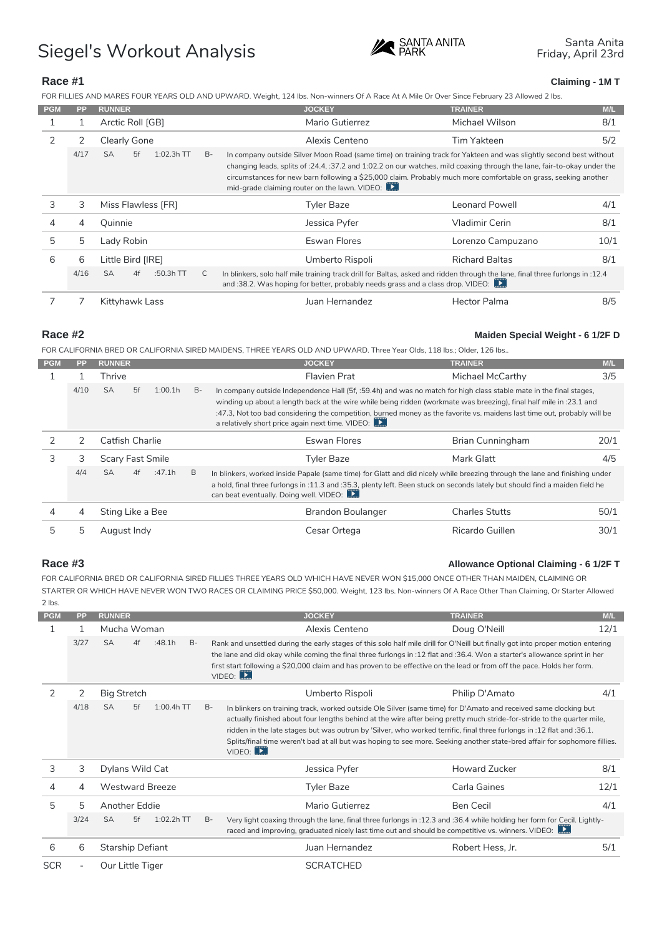# Siegel's Workout Analysis Siegel's Workout Analysis

Race #1 Claiming - 1M T

FOR FILLIES AND MARES FOUR YEARS OLD AND UPWARD. Weight, 124 lbs. Non-winners Of A Race At A Mile Or Ov PGM PP RUNNER JOCKEY TRAINER M/L

| <b>FUIL</b> |   | <b>FF NUNNEN</b>                                                                                  | <b>JUUNET</b>                                                                                                                                                                       | <b>INAINEN</b>    | IVU              |
|-------------|---|---------------------------------------------------------------------------------------------------|-------------------------------------------------------------------------------------------------------------------------------------------------------------------------------------|-------------------|------------------|
|             |   | Arctic Roll [GB]                                                                                  | Mario Gutierrez                                                                                                                                                                     | Michael Wilson    | 8/1              |
|             |   | Clearly Gone                                                                                      | Alexis Centeno                                                                                                                                                                      | Tim Yakteen       | 5/2              |
|             |   | /17 SA 5f 1:02.3h B-                                                                              | In company outside Silver Moon Road (same time) on training track for Yakteen a<br>changing leads, splits of :24.4, :37.2 and 1:02.2 on our watches, mild coa <mark>xing thr</mark> |                   |                  |
|             |   |                                                                                                   | circumstances for new barn following a \$25,000 claim. Probably much more comfo<br>mid-grade claiming router on the lawn. VIDEO:                                                    |                   |                  |
| 3           | 3 | Miss Flawless [FR]                                                                                | Tyler Baze                                                                                                                                                                          | Leonard Powell    | 4/1              |
|             | 4 | Quinnie                                                                                           | Jessica Pyfer                                                                                                                                                                       | Vladimir Cerin    | 8/1              |
| 5           |   | Lady Robin                                                                                        | Eswan Flores                                                                                                                                                                        | Lorenzo Campuzano | 10/1             |
| 6           | 6 | Little Bird [IRE]                                                                                 | Umberto Rispoli                                                                                                                                                                     | Richard Baltas    | 8/1              |
|             |   | 4/16 SA 4f :50.3h C In blinkers, solo half mile training track drill for Baltas, asked and ridder | and :38.2. Was hoping for better, probably needs grass and a class drop.                                                                                                            |                   | through<br>IDEO: |
|             |   | Kittyhawk Lass                                                                                    | Juan Hernandez                                                                                                                                                                      | Hector Palma      | 8/5              |
|             |   |                                                                                                   |                                                                                                                                                                                     |                   |                  |

Race #2 Maiden Special Weight - 6 1/2F D

FOR CALIFORNIA BRED OR CALIFORNIA SIRED MAIDENS, THREE YEARS OLD AND UPWARD. Three Year Olds, 118 l

| <b>PGM</b> | PP. | <b>RUNNER</b>    | <b>JOCKEY</b>                                                                                                                                                                                                                       | <b>TRAINER</b>   | M/L      |
|------------|-----|------------------|-------------------------------------------------------------------------------------------------------------------------------------------------------------------------------------------------------------------------------------|------------------|----------|
|            |     | Thrive           | Flavien Prat                                                                                                                                                                                                                        | Michael McCarthy | 3/5      |
|            |     |                  | ./1C SA  5f  1:00. B- In company outside Independence Hall (5f, :59.4h) and was no match for hi                                                                                                                                     |                  | h class  |
|            |     |                  | winding up about a length back at the wire while being ridden (workmate wa                                                                                                                                                          |                  | breezi   |
|            |     |                  | :47.3, Not too bad considering the competition, burned money as the favorite vs. ma<br>a relatively short price again next time. VIDEO:                                                                                             |                  |          |
|            | 2   | Catfish Charlie  | Eswan Flores                                                                                                                                                                                                                        | Brian Cunningham | 20/1     |
| 3          | 3   | Scary Fast Smile | Tyler Baze                                                                                                                                                                                                                          | Mark Glatt       | 4/5      |
|            |     |                  | 4/4 SA 4f :47.1 B In blinkers, worked inside Papale (same time) for Glatt and did nicely while<br>a hold, final three furlongs in :11.3 and :35.3, plenty left. Been stuck on seconds la<br>can beat eventually. Doing well. VIDEO: |                  | breezing |
| 4          | 4   | Sting Like a Bee | Brandon Boulanger                                                                                                                                                                                                                   | Charles Stutts   | 50/1     |
| 5          | -5  | August Indy      | Cesar Ortega                                                                                                                                                                                                                        | Ricardo Guillen  | 30/1     |

## Race #3 Allowance Optional Claiming - 6 1/2F T

FOR CALIFORNIA BRED OR CALIFORNIA SIRED FILLIES THREE YEARS OLD WHICH HAVE NEVER WON \$15,000 ONCI STARTER OR WHICH HAVE NEVER WON TWO RACES OR CLAIMING PRICE \$50,000. Weight, 123 lbs. Non-winners Of  $2$  lbs.

| <b>PGM</b> | PP. | <b>RUNNER</b>    | <b>JOCKEY</b>                                                                                                                                                            | <b>TRAINER</b>   | M/L     |
|------------|-----|------------------|--------------------------------------------------------------------------------------------------------------------------------------------------------------------------|------------------|---------|
|            |     | Mucha Woman      | Alexis Centeno                                                                                                                                                           | Doug O'Neill     | 12/1    |
|            |     |                  | SA 4f :48.1 B Rank and unsettled during the early stages of this solo half mile drill for O'Neill but                                                                    |                  |         |
|            |     |                  | the lane and did okay while coming the final three furlongs in :12 flat and :36.4. Wo                                                                                    |                  |         |
|            |     |                  | first start following a \$20,000 claim and has proven to be effective on the lead or fr<br>VIDEO:                                                                        |                  |         |
|            |     | Big Stretch      | Umberto Rispoli                                                                                                                                                          | Philip D'Amato   | 4/1     |
|            |     |                  | 18 SA 5f 1:00,4h B– In blinkers on training track, worked outside Ole Silver (same time) for D' <b>Amato</b>                                                             |                  |         |
|            |     |                  | actually finished about four lengths behind at the wire after being pretty much sti                                                                                      |                  |         |
|            |     |                  | ridden in the late stages but was outrun by 'Silver, who worked terrific, final thre<br>Splits/final time weren't bad at all but was hoping to see more. Seeking another |                  |         |
|            |     |                  | VIDEO:                                                                                                                                                                   |                  |         |
| 3          | 3   | Dylans Wild Cat  | Jessica Pyfer                                                                                                                                                            | Howard Zucker    | 8/1     |
|            |     | Westward Breeze  | Tyler Baze                                                                                                                                                               | Carla Gaines     | 12/1    |
| 5          | 5   | Another Eddie    | Mario Gutierrez                                                                                                                                                          | Ben Cecil        | 4/1     |
|            |     |                  | 24 SA 5f 1:02.2h B Verylight coaxing through the lane, final three furlongs in :12.3 and :36                                                                             |                  | while   |
|            |     |                  | raced and improving, graduated nicely last time out and should be compe                                                                                                  |                  | tive vs |
| 6          | 6   | Starship Defiant | Juan Hernandez                                                                                                                                                           | Robert Hess, Jr. | 5/1     |
|            |     |                  |                                                                                                                                                                          |                  |         |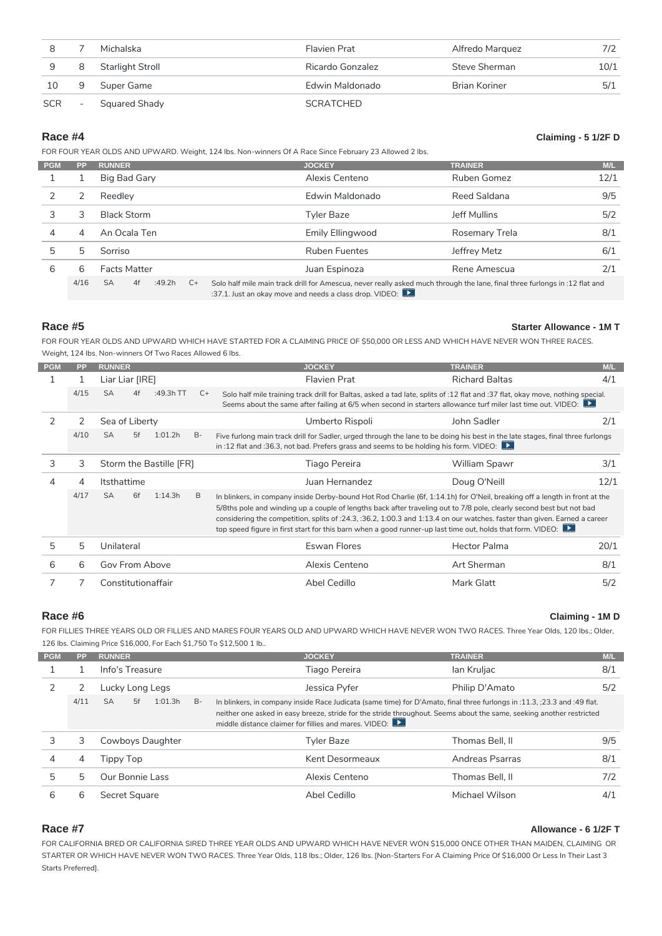| 8 | Michalska            | Flavien Prat     | Alfredo Marquez | 7/2  |
|---|----------------------|------------------|-----------------|------|
|   | 9 8 Starlight Stroll | Ricardo Gonzalez | Steve Sherman   | 10/1 |
|   | 10 9 Super Game      | Edwin Maldonado  | Brian Koriner   | 5/1  |
|   | SCR - Squared Shady  | SCRATCHED        |                 |      |

Race #4 Claiming - 5 1/2F D

FOR FOUR YEAR OLDS AND UPWARD. Weight, 124 lbs. Non-winners Of A Race Since February 23 Allowed 2 lbs.

| <b>PGM</b> |   | PP RUNNER    | <b>JOCKEY</b>                                                                                                                                                | <b>TRAINER</b> | M/L                    |
|------------|---|--------------|--------------------------------------------------------------------------------------------------------------------------------------------------------------|----------------|------------------------|
|            |   | Big Bad Gary | Alexis Centeno                                                                                                                                               | Ruben Gomez    | 12/1                   |
| 2          |   | Reedley      | Edwin Maldonado                                                                                                                                              | Reed Saldana   | 9/5                    |
|            |   | Black Storm  | Tyler Baze                                                                                                                                                   | Jeff Mullins   | 5/2                    |
| 4          | 4 | An Ocala Ten | Emily Ellingwood                                                                                                                                             | Rosemary Trela | 8/1                    |
| 5          |   | Sorriso      | Ruben Fuentes                                                                                                                                                | Jeffrey Metz   | 6/1                    |
| 6          | 6 | Facts Matter | Juan Espinoza                                                                                                                                                | Rene Amescua   | 2/1                    |
|            |   |              | 4/16 SA  4f :49.2 C+ Solo half mile main track drill for Amescua, never really asked much throug<br>$.27$ 1 lust an above move and needs a closs drop VIDEO. |                | $\blacksquare$ the lan |

Race #5 Starter Allowance - 1M T

FOR FOUR YEAR OLDS AND UPWARD WHICH HAVE STARTED FOR A CLAIMING PRICE OF \$50,000 OR LESS AND WHI Weight, 124 lbs. Non-winners Of Two Races Allowed 6 lbs.

| <b>PGM</b> | PP. | <b>RUNNER</b>                                                                                                      | <b>JOCKEY</b>                                                                                                                                                                                                                                          | <b>TRAINER</b> | M/L                            |
|------------|-----|--------------------------------------------------------------------------------------------------------------------|--------------------------------------------------------------------------------------------------------------------------------------------------------------------------------------------------------------------------------------------------------|----------------|--------------------------------|
|            |     | Liar Liar [IRE]                                                                                                    | Flavien Prat                                                                                                                                                                                                                                           | Richard Baltas | 4/1                            |
|            |     | /15 SA 4f :49.3h C+ Solo half mile training track drill for Baltas, asked a tad late, splits of                    | Seems about the same after failing at 6/5 when second in starters allowan                                                                                                                                                                              |                | flat an<br>e turf n            |
| 2          | 2   | Sea of Liberty                                                                                                     | Umberto Rispoli                                                                                                                                                                                                                                        | John Sadler    | 2/1                            |
|            |     | ./10 SA 5f 1:01.: B- Five furlong main track drill for Sadler, urged through the lane to be doing h <b>is best</b> | in :12 flat and :36.3, not bad. Prefers grass and seems to be holding his form. VIDE                                                                                                                                                                   |                |                                |
| 3          | 3   | Storm the Bastille [FR]                                                                                            | Tiago Pereira                                                                                                                                                                                                                                          | William Spawr  | 3/1                            |
|            |     | Itsthattime                                                                                                        | Juan Hernandez                                                                                                                                                                                                                                         | Doug O'Neill   | 12/1                           |
|            |     | /17 SA 6f 1:14.: B In blinkers, in company inside Derby-bound Hot Rod Charlie (6f, 1:14.1h) f                      | 5/8ths pole and winding up a couple of lengths back after traveling out to 7<br>considering the competition, splits of :24.3, :36.2, 1:00.3 and 1:13.4 on our<br>top speed figure in first start for this barn when a good runner-up last time out, ho |                | $O'$ Neil<br>8 pole,<br>watche |
| .5         |     | Unilateral                                                                                                         | Eswan Flores                                                                                                                                                                                                                                           | Hector Palma   | 20/1                           |
| 6          |     | Gov From Above                                                                                                     | Alexis Centeno                                                                                                                                                                                                                                         | Art Sherman    | 8/1                            |
|            |     | Constitutionaffair                                                                                                 | Abel Cedillo                                                                                                                                                                                                                                           | Mark Glatt     | 5/2                            |

Race #6 Claiming - 1M D

FOR FILLIES THREE YEARS OLD OR FILLIES AND MARES FOUR YEARS OLD AND UPWARD WHICH HAVE NEVER WON 126 lbs. Claiming Price \$16,000, For Each \$1,750 To \$12,500 1 lb..

| <b>PGM</b> |    | PP RUNNER                                                                                         | <b>JOCKEY</b>                                         | <b>TRAINER</b>                                                                | M/L                 |
|------------|----|---------------------------------------------------------------------------------------------------|-------------------------------------------------------|-------------------------------------------------------------------------------|---------------------|
|            |    | Info's Treasure                                                                                   | Tiago Pereira                                         | lan Kruljac                                                                   | 8/1                 |
|            |    | Lucky Long Legs                                                                                   | Jessica Pyfer                                         | Philip D'Amato                                                                | 5/2                 |
|            |    | 4/11 SA  5f  1:01: B-  In blinkers, in company inside Race Judicata (same time) for D'Amato, fina | middle distance claimer for fillies and mares. VIDEO: | neither one asked in easy breeze, stride for the stride throughout. Seems and | three fl<br>out the |
|            | 3  | Cowboys Daughter                                                                                  | Tyler Baze                                            | Thomas Bell, II                                                               | 9/5                 |
| 4          | 4  | Тірру Тор                                                                                         | Kent Desormeaux                                       | Andreas Psarras                                                               | 8/1                 |
| 5          | 5. | Our Bonnie Lass                                                                                   | Alexis Centeno                                        | Thomas Bell, II                                                               | 7/2                 |
| 6          | 6  | Secret Square                                                                                     | Abel Cedillo                                          | Michael Wilson                                                                | 4/1                 |
|            |    |                                                                                                   |                                                       |                                                                               |                     |

### Race #7 Allowance - 6 1/2F T

FOR CALIFORNIA BRED OR CALIFORNIA SIRED THREE YEAR OLDS AND UPWARD WHICH HAVE NEVER WOONR\$15,000 STARTER OR WHICH HAVE NEVER WON TWO RACES. Three Year Olds, 118 lbs.; Older, 126 lbs. [Non-Starters For A Starts Preferred].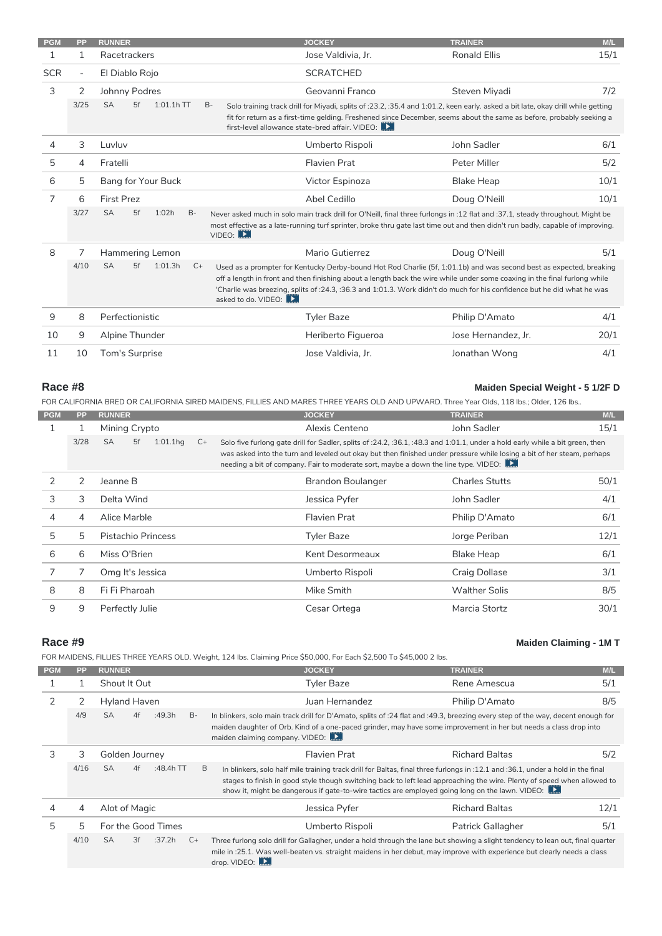| PGM | PP.    | <b>RUNNER</b>                                                                                                            | <b>JOCKEY</b>                                   | <b>TRAINER</b>                                                                                                                                                        | M/L       |
|-----|--------|--------------------------------------------------------------------------------------------------------------------------|-------------------------------------------------|-----------------------------------------------------------------------------------------------------------------------------------------------------------------------|-----------|
|     |        | Racetrackers                                                                                                             | Jose Valdivia, Jr.                              | Ronald Ellis                                                                                                                                                          | 15/1      |
| SCR | $\sim$ | El Diablo Rojo                                                                                                           | <b>SCRATCHED</b>                                |                                                                                                                                                                       |           |
| 3   | 2      | Johnny Podres                                                                                                            | Geovanni Franco                                 | Steven Miyadi                                                                                                                                                         | 7/2       |
|     |        | SA 5f 1:01.1h B- Solo training track drill for Miyadi, splits of :23.2, :35.4 and 1:01.2, keer                           |                                                 |                                                                                                                                                                       | early.    |
|     |        |                                                                                                                          | first-level allowance state-bred affair. VIDEO: | fit for return as a first-time gelding. Freshened since December, seems about the                                                                                     |           |
|     | 3      | Luvluv                                                                                                                   | Umberto Rispoli                                 | John Sadler                                                                                                                                                           | 6/1       |
| 5   | 4      | Fratelli                                                                                                                 | Flavien Prat                                    | Peter Miller                                                                                                                                                          | 5/2       |
| 6   | 5      | Bang for Your Buck                                                                                                       | Victor Espinoza                                 | Blake Heap                                                                                                                                                            | 10/1      |
|     | 6      | First Prez                                                                                                               | Abel Cedillo                                    | Doug O'Neill                                                                                                                                                          | 10/1      |
|     |        | SA 5f 1:02 B - Never asked much in solo main track drill for O'Neill, final three furlongs in<br>VIDEO:                  |                                                 | most effective as a late-running turf sprinter, broke thru gate last time out and then                                                                                | $12$ flat |
| 8   |        | Hammering Lemon                                                                                                          | Mario Gutierrez                                 | Doug O'Neill                                                                                                                                                          | 5/1       |
|     |        | SA 5f 1:01.: C+ Used as a prompter for Kentucky Derby-bound Hot Rod Charlie (5f, 1:01.1b) and wa:<br>asked to do. VIDEO: |                                                 | off a length in front and then finishing about a length back the wire while under sor<br>'Charlie was breezing, splits of :24.3, :36.3 and 1:01.3. Work didn't do muc | ifor his  |
| 9   | 8      | Perfectionistic                                                                                                          | Tyler Baze                                      | Philip D'Amato                                                                                                                                                        | 4/1       |
| 10  | 9      | Alpine Thunder                                                                                                           | Heriberto Figueroa                              | Jose Hernandez, Jr.                                                                                                                                                   | 20/1      |
| 11  | 10     | Tom's Surprise                                                                                                           | Jose Valdivia, Jr.                              | Jonathan Wong                                                                                                                                                         | 4/1       |

### Race #8 Maiden Special Weight - 5 1/2F D

FOR CALIFORNIA BRED OR CALIFORNIA SIRED MAIDENS, FILLIES AND MARES THREE YEARS OLD AND UPWARD. Th

| <b>PGM</b> | PP             | <b>RUNNER</b>      | <b>JOCKEY</b>                                                                                                                                                                                                                                     | <b>TRAINER</b> | M/L                         |
|------------|----------------|--------------------|---------------------------------------------------------------------------------------------------------------------------------------------------------------------------------------------------------------------------------------------------|----------------|-----------------------------|
|            |                | Mining Crypto      | Alexis Centeno                                                                                                                                                                                                                                    | John Sadler    | 15/1                        |
|            |                | SA 5f 1:01.1 C+    | Solo five furlong gate drill for Sadler, splits of :24.2, :36.1, :48.3 and 1:0<br>was asked into the turn and leveled out okay but then finished under press<br>needing a bit of company. Fair to moderate sort, maybe a down the line type. VIDE |                | .1, und<br><b>u</b> re whil |
|            | 2              | Jeanne B           | Brandon Boulanger                                                                                                                                                                                                                                 | Charles Stutts | 50/1                        |
| 3          | 3              | Delta Wind         | Jessica Pyfer                                                                                                                                                                                                                                     | John Sadler    | 4/1                         |
| 4          | $\overline{4}$ | Alice Marble       | Flavien Prat                                                                                                                                                                                                                                      | Philip D'Amato | 6/1                         |
| 5          | 5              | Pistachio Princess | Tyler Baze                                                                                                                                                                                                                                        | Jorge Periban  | 12/1                        |
| 6          | 6              | Miss O'Brien       | Kent Desormeaux                                                                                                                                                                                                                                   | Blake Heap     | 6/1                         |
|            |                | Omg It's Jessica   | Umberto Rispoli                                                                                                                                                                                                                                   | Craig Dollase  | 3/1                         |
| 8          | 8              | Fi Fi Pharoah      | Mike Smith                                                                                                                                                                                                                                        | Walther Solis  | 8/5                         |
| 9          | 9              | Perfectly Julie    | Cesar Ortega                                                                                                                                                                                                                                      | Marcia Stortz  | 30/1                        |

### Race #9 Maiden Claiming - 1M T

FOR MAIDENS, FILLIES THREE YEARS OLD. Weight, 124 lbs. Claiming Price \$50,000, For Each \$2,500 To \$45,000 2

| <b>PGM</b> | PP. | <b>RUNNER</b>      | <b>JOCKEY</b>                                                                                                                                           | <b>TRAINER</b>    | M/L               |
|------------|-----|--------------------|---------------------------------------------------------------------------------------------------------------------------------------------------------|-------------------|-------------------|
|            |     | Shout It Out       | Tyler Baze                                                                                                                                              | Rene Amescua      | 5/1               |
|            |     | Hyland Haven       | Juan Hernandez                                                                                                                                          | Philip D'Amato    | 8/5               |
|            |     |                    | 4/9 SA 4f :49.3 B- In blinkers, solo main track drill for D'Amato, splits of :24 flat and :49.3, b                                                      |                   | $ezing \epsilon$  |
|            |     |                    | maiden daughter of Orb. Kind of a one-paced grinder, may have some impro<br>maiden claiming company. VIDEO:                                             |                   | mentir            |
| 3          | 3   | Golden Journey     | Flavien Prat                                                                                                                                            | Richard Baltas    | 5/2               |
|            |     |                    | 16 SA 4f :48.4h B Inblinkers, solo half mile training track drill for Baltas, final three furlon                                                        |                   | $s$ in :12        |
|            |     |                    | stages to finish in good style though switching back to left lead approach<br>show it, might be dangerous if gate-to-wire tactics are employed going Id |                   | g the w<br>on the |
|            | 4   | Alot of Magic      | Jessica Pyfer                                                                                                                                           | Richard Baltas    | 12/1              |
| .5         | 5   | For the Good Times | Umberto Rispoli                                                                                                                                         | Patrick Gallagher | 5/1               |
|            |     |                    | /10 SA 3f :37.2 C+ Three furlong solo drill for Gallagher, under a hold through the lane but shov                                                       |                   | wing a s          |
|            |     |                    | mile in :25.1. Was well-beaten vs. straight maidens in her debut, may improve with<br>drop. VIDEO:                                                      |                   |                   |